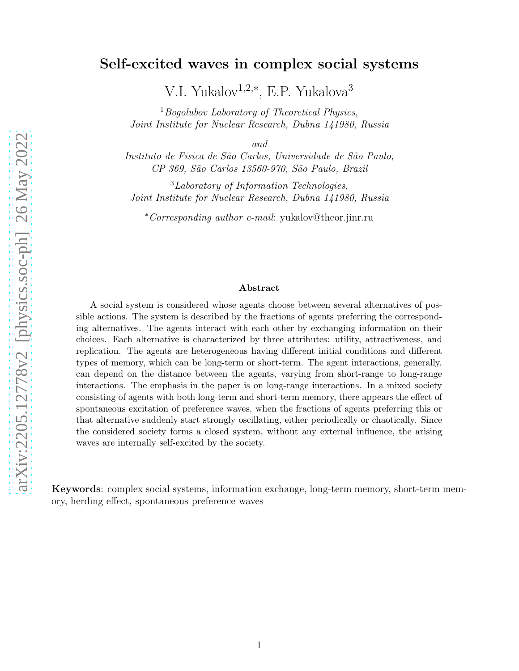# Self-excited waves in complex social systems

V.I. Yukalov<sup>1,2,∗</sup>, E.P. Yukalova<sup>3</sup>

 $1$ Bogolubov Laboratory of Theoretical Physics, Joint Institute for Nuclear Research, Dubna 141980, Russia

and

Instituto de Fisica de São Carlos, Universidade de São Paulo, CP 369, S˜ao Carlos 13560-970, S˜ao Paulo, Brazil

<sup>3</sup>Laboratory of Information Technologies, Joint Institute for Nuclear Research, Dubna 141980, Russia

<sup>∗</sup>Corresponding author e-mail: yukalov@theor.jinr.ru

#### Abstract

A social system is considered whose agents choose between several alternatives of possible actions. The system is described by the fractions of agents preferring the corresponding alternatives. The agents interact with each other by exchanging information on their choices. Each alternative is characterized by three attributes: utility, attractiveness, and replication. The agents are heterogeneous having different initial conditions and different types of memory, which can be long-term or short-term. The agent interactions, generally, can depend on the distance between the agents, varying from short-range to long-range interactions. The emphasis in the paper is on long-range interactions. In a mixed society consisting of agents with both long-term and short-term memory, there appears the effect of spontaneous excitation of preference waves, when the fractions of agents preferring this or that alternative suddenly start strongly oscillating, either periodically or chaotically. Since the considered society forms a closed system, without any external influence, the arising waves are internally self-excited by the society.

Keywords: complex social systems, information exchange, long-term memory, short-term memory, herding effect, spontaneous preference waves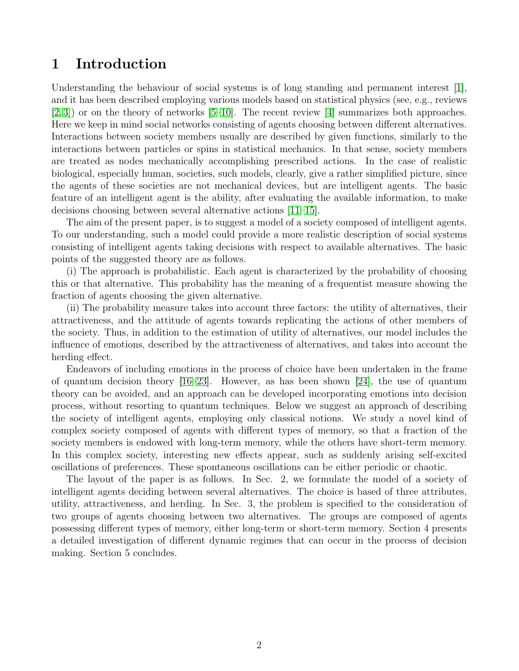## 1 Introduction

Understanding the behaviour of social systems is of long standing and permanent interest [\[1\]](#page-11-0), and it has been described employing various models based on statistical physics (see, e.g., reviews [\[2,](#page-11-1) [3\]](#page-11-2)) or on the theory of networks [\[5–](#page-11-3)[10\]](#page-11-4). The recent review [\[4\]](#page-11-5) summarizes both approaches. Here we keep in mind social networks consisting of agents choosing between different alternatives. Interactions between society members usually are described by given functions, similarly to the interactions between particles or spins in statistical mechanics. In that sense, society members are treated as nodes mechanically accomplishing prescribed actions. In the case of realistic biological, especially human, societies, such models, clearly, give a rather simplified picture, since the agents of these societies are not mechanical devices, but are intelligent agents. The basic feature of an intelligent agent is the ability, after evaluating the available information, to make decisions choosing between several alternative actions [\[11–](#page-11-6)[15\]](#page-12-0).

The aim of the present paper, is to suggest a model of a society composed of intelligent agents. To our understanding, such a model could provide a more realistic description of social systems consisting of intelligent agents taking decisions with respect to available alternatives. The basic points of the suggested theory are as follows.

(i) The approach is probabilistic. Each agent is characterized by the probability of choosing this or that alternative. This probability has the meaning of a frequentist measure showing the fraction of agents choosing the given alternative.

(ii) The probability measure takes into account three factors: the utility of alternatives, their attractiveness, and the attitude of agents towards replicating the actions of other members of the society. Thus, in addition to the estimation of utility of alternatives, our model includes the influence of emotions, described by the attractiveness of alternatives, and takes into account the herding effect.

Endeavors of including emotions in the process of choice have been undertaken in the frame of quantum decision theory [\[16](#page-12-1)[–23\]](#page-12-2). However, as has been shown [\[24\]](#page-12-3), the use of quantum theory can be avoided, and an approach can be developed incorporating emotions into decision process, without resorting to quantum techniques. Below we suggest an approach of describing the society of intelligent agents, employing only classical notions. We study a novel kind of complex society composed of agents with different types of memory, so that a fraction of the society members is endowed with long-term memory, while the others have short-term memory. In this complex society, interesting new effects appear, such as suddenly arising self-excited oscillations of preferences. These spontaneous oscillations can be either periodic or chaotic.

The layout of the paper is as follows. In Sec. 2, we formulate the model of a society of intelligent agents deciding between several alternatives. The choice is based of three attributes, utility, attractiveness, and herding. In Sec. 3, the problem is specified to the consideration of two groups of agents choosing between two alternatives. The groups are composed of agents possessing different types of memory, either long-term or short-term memory. Section 4 presents a detailed investigation of different dynamic regimes that can occur in the process of decision making. Section 5 concludes.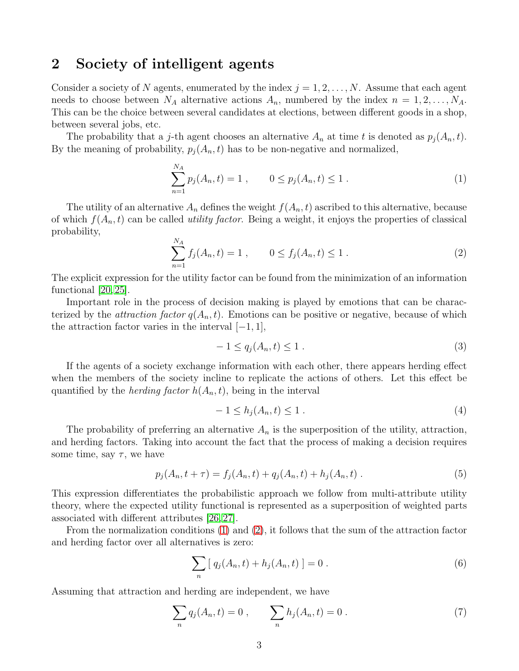## 2 Society of intelligent agents

Consider a society of N agents, enumerated by the index  $j = 1, 2, ..., N$ . Assume that each agent needs to choose between  $N_A$  alternative actions  $A_n$ , numbered by the index  $n = 1, 2, \ldots, N_A$ . This can be the choice between several candidates at elections, between different goods in a shop, between several jobs, etc.

The probability that a j-th agent chooses an alternative  $A_n$  at time t is denoted as  $p_j(A_n,t)$ . By the meaning of probability,  $p_i(A_n, t)$  has to be non-negative and normalized,

<span id="page-2-0"></span>
$$
\sum_{n=1}^{N_A} p_j(A_n, t) = 1 , \qquad 0 \le p_j(A_n, t) \le 1 . \tag{1}
$$

The utility of an alternative  $A_n$  defines the weight  $f(A_n, t)$  ascribed to this alternative, because of which  $f(A_n, t)$  can be called *utility factor*. Being a weight, it enjoys the properties of classical probability,

<span id="page-2-1"></span>
$$
\sum_{n=1}^{N_A} f_j(A_n, t) = 1 , \qquad 0 \le f_j(A_n, t) \le 1 . \tag{2}
$$

The explicit expression for the utility factor can be found from the minimization of an information functional [\[20,](#page-12-4) [25\]](#page-12-5).

Important role in the process of decision making is played by emotions that can be characterized by the *attraction factor*  $q(A_n, t)$ . Emotions can be positive or negative, because of which the attraction factor varies in the interval  $[-1, 1]$ ,

<span id="page-2-2"></span>
$$
-1 \le q_j(A_n, t) \le 1. \tag{3}
$$

If the agents of a society exchange information with each other, there appears herding effect when the members of the society incline to replicate the actions of others. Let this effect be quantified by the *herding factor*  $h(A_n, t)$ , being in the interval

<span id="page-2-3"></span>
$$
-1 \le h_j(A_n, t) \le 1. \tag{4}
$$

The probability of preferring an alternative  $A_n$  is the superposition of the utility, attraction, and herding factors. Taking into account the fact that the process of making a decision requires some time, say  $\tau$ , we have

<span id="page-2-5"></span>
$$
p_j(A_n, t + \tau) = f_j(A_n, t) + q_j(A_n, t) + h_j(A_n, t) \tag{5}
$$

This expression differentiates the probabilistic approach we follow from multi-attribute utility theory, where the expected utility functional is represented as a superposition of weighted parts associated with different attributes [\[26,](#page-12-6) [27\]](#page-12-7).

From the normalization conditions [\(1\)](#page-2-0) and [\(2\)](#page-2-1), it follows that the sum of the attraction factor and herding factor over all alternatives is zero:

$$
\sum_{n} [q_j(A_n, t) + h_j(A_n, t)] = 0.
$$
 (6)

Assuming that attraction and herding are independent, we have

<span id="page-2-4"></span>
$$
\sum_{n} q_j(A_n, t) = 0 , \qquad \sum_{n} h_j(A_n, t) = 0 . \tag{7}
$$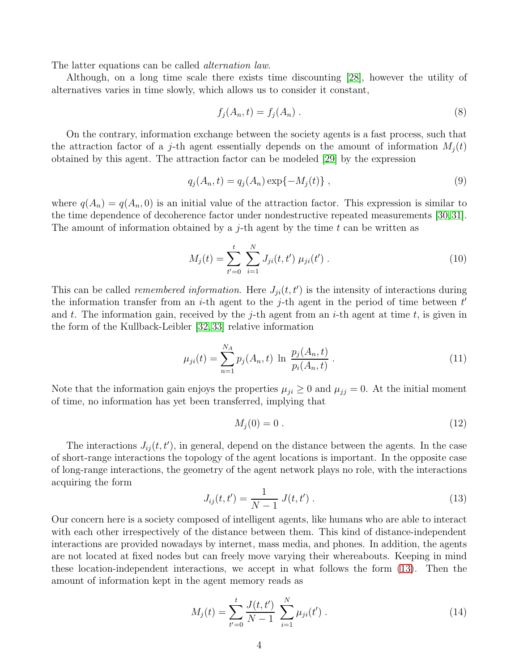The latter equations can be called alternation law.

Although, on a long time scale there exists time discounting [\[28\]](#page-12-8), however the utility of alternatives varies in time slowly, which allows us to consider it constant,

$$
f_j(A_n, t) = f_j(A_n) \tag{8}
$$

On the contrary, information exchange between the society agents is a fast process, such that the attraction factor of a j-th agent essentially depends on the amount of information  $M_i(t)$ obtained by this agent. The attraction factor can be modeled [\[29\]](#page-12-9) by the expression

$$
q_j(A_n, t) = q_j(A_n) \exp\{-M_j(t)\},\tag{9}
$$

where  $q(A_n) = q(A_n, 0)$  is an initial value of the attraction factor. This expression is similar to the time dependence of decoherence factor under nondestructive repeated measurements [\[30,](#page-12-10)[31\]](#page-12-11). The amount of information obtained by a *j*-th agent by the time t can be written as

$$
M_j(t) = \sum_{t'=0}^{t} \sum_{i=1}^{N} J_{ji}(t, t') \mu_{ji}(t') .
$$
 (10)

This can be called *remembered information*. Here  $J_{ji}(t, t')$  is the intensity of interactions during the information transfer from an *i*-th agent to the *j*-th agent in the period of time between  $t'$ and t. The information gain, received by the j-th agent from an i-th agent at time t, is given in the form of the Kullback-Leibler [\[32,](#page-12-12) [33\]](#page-13-0) relative information

$$
\mu_{ji}(t) = \sum_{n=1}^{N_A} p_j(A_n, t) \ln \frac{p_j(A_n, t)}{p_i(A_n, t)}.
$$
\n(11)

Note that the information gain enjoys the properties  $\mu_{ji} \geq 0$  and  $\mu_{jj} = 0$ . At the initial moment of time, no information has yet been transferred, implying that

$$
M_j(0) = 0 \tag{12}
$$

The interactions  $J_{ij}(t, t')$ , in general, depend on the distance between the agents. In the case of short-range interactions the topology of the agent locations is important. In the opposite case of long-range interactions, the geometry of the agent network plays no role, with the interactions acquiring the form

<span id="page-3-0"></span>
$$
J_{ij}(t, t') = \frac{1}{N - 1} J(t, t') . \tag{13}
$$

Our concern here is a society composed of intelligent agents, like humans who are able to interact with each other irrespectively of the distance between them. This kind of distance-independent interactions are provided nowadays by internet, mass media, and phones. In addition, the agents are not located at fixed nodes but can freely move varying their whereabouts. Keeping in mind these location-independent interactions, we accept in what follows the form [\(13\)](#page-3-0). Then the amount of information kept in the agent memory reads as

<span id="page-3-1"></span>
$$
M_j(t) = \sum_{t'=0}^{t} \frac{J(t, t')}{N - 1} \sum_{i=1}^{N} \mu_{ji}(t') .
$$
 (14)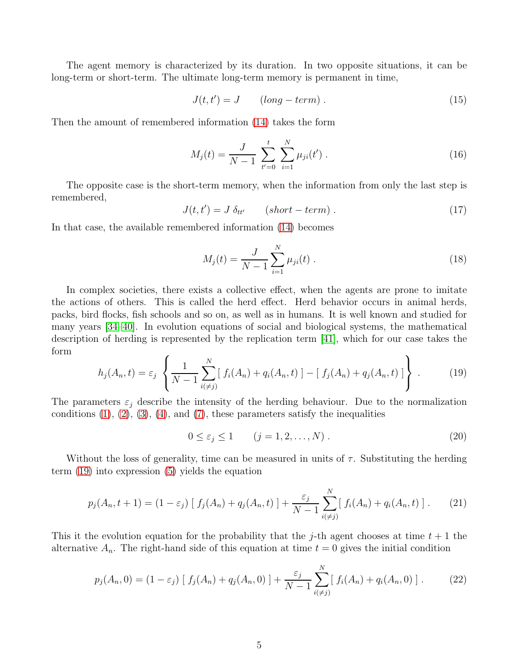The agent memory is characterized by its duration. In two opposite situations, it can be long-term or short-term. The ultimate long-term memory is permanent in time,

$$
J(t, t') = J \qquad (long-term) \tag{15}
$$

Then the amount of remembered information [\(14\)](#page-3-1) takes the form

<span id="page-4-1"></span>
$$
M_j(t) = \frac{J}{N-1} \sum_{t'=0}^{t} \sum_{i=1}^{N} \mu_{ji}(t').
$$
 (16)

The opposite case is the short-term memory, when the information from only the last step is remembered,

$$
J(t, t') = J \, \delta_{tt'} \qquad (short-term) \,. \tag{17}
$$

In that case, the available remembered information [\(14\)](#page-3-1) becomes

<span id="page-4-2"></span>
$$
M_j(t) = \frac{J}{N-1} \sum_{i=1}^{N} \mu_{ji}(t) .
$$
 (18)

In complex societies, there exists a collective effect, when the agents are prone to imitate the actions of others. This is called the herd effect. Herd behavior occurs in animal herds, packs, bird flocks, fish schools and so on, as well as in humans. It is well known and studied for many years [\[34–](#page-13-1)[40\]](#page-13-2). In evolution equations of social and biological systems, the mathematical description of herding is represented by the replication term [\[41\]](#page-13-3), which for our case takes the form

<span id="page-4-0"></span>
$$
h_j(A_n, t) = \varepsilon_j \left\{ \frac{1}{N-1} \sum_{i(\neq j)}^N [f_i(A_n) + q_i(A_n, t)] - [f_j(A_n) + q_j(A_n, t)] \right\}.
$$
 (19)

The parameters  $\varepsilon_j$  describe the intensity of the herding behaviour. Due to the normalization conditions  $(1)$ ,  $(2)$ ,  $(3)$ ,  $(4)$ , and  $(7)$ , these parameters satisfy the inequalities

$$
0 \le \varepsilon_j \le 1 \qquad (j = 1, 2, \dots, N) \tag{20}
$$

Without the loss of generality, time can be measured in units of  $\tau$ . Substituting the herding term [\(19\)](#page-4-0) into expression [\(5\)](#page-2-5) yields the equation

$$
p_j(A_n, t+1) = (1 - \varepsilon_j) [f_j(A_n) + q_j(A_n, t)] + \frac{\varepsilon_j}{N-1} \sum_{i(\neq j)}^N [f_i(A_n) + q_i(A_n, t)]. \tag{21}
$$

This it the evolution equation for the probability that the j-th agent chooses at time  $t + 1$  the alternative  $A_n$ . The right-hand side of this equation at time  $t = 0$  gives the initial condition

$$
p_j(A_n, 0) = (1 - \varepsilon_j) [f_j(A_n) + q_j(A_n, 0)] + \frac{\varepsilon_j}{N - 1} \sum_{i \in j}^N [f_i(A_n) + q_i(A_n, 0)]. \tag{22}
$$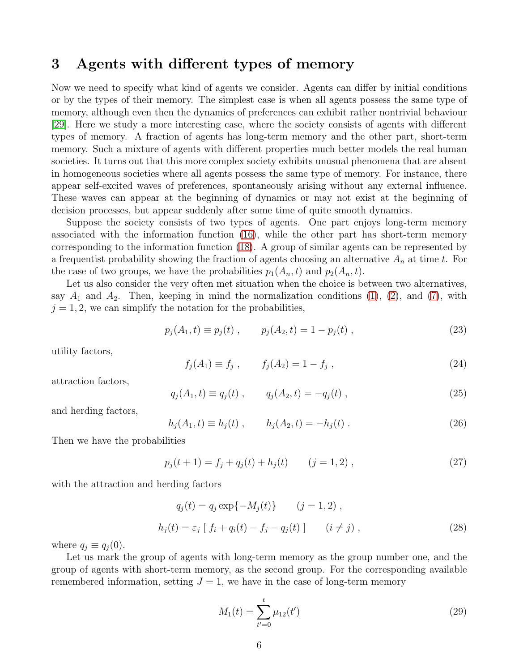# 3 Agents with different types of memory

Now we need to specify what kind of agents we consider. Agents can differ by initial conditions or by the types of their memory. The simplest case is when all agents possess the same type of memory, although even then the dynamics of preferences can exhibit rather nontrivial behaviour [\[29\]](#page-12-9). Here we study a more interesting case, where the society consists of agents with different types of memory. A fraction of agents has long-term memory and the other part, short-term memory. Such a mixture of agents with different properties much better models the real human societies. It turns out that this more complex society exhibits unusual phenomena that are absent in homogeneous societies where all agents possess the same type of memory. For instance, there appear self-excited waves of preferences, spontaneously arising without any external influence. These waves can appear at the beginning of dynamics or may not exist at the beginning of decision processes, but appear suddenly after some time of quite smooth dynamics.

Suppose the society consists of two types of agents. One part enjoys long-term memory associated with the information function [\(16\)](#page-4-1), while the other part has short-term memory corresponding to the information function [\(18\)](#page-4-2). A group of similar agents can be represented by a frequentist probability showing the fraction of agents choosing an alternative  $A_n$  at time t. For the case of two groups, we have the probabilities  $p_1(A_n, t)$  and  $p_2(A_n, t)$ .

Let us also consider the very often met situation when the choice is between two alternatives, say  $A_1$  and  $A_2$ . Then, keeping in mind the normalization conditions [\(1\)](#page-2-0), [\(2\)](#page-2-1), and [\(7\)](#page-2-4), with  $j = 1, 2$ , we can simplify the notation for the probabilities,

$$
p_j(A_1, t) \equiv p_j(t) , \qquad p_j(A_2, t) = 1 - p_j(t) , \qquad (23)
$$

utility factors,

$$
f_j(A_1) \equiv f_j \;, \qquad f_j(A_2) = 1 - f_j \;, \tag{24}
$$

attraction factors,

$$
q_j(A_1, t) \equiv q_j(t) , \qquad q_j(A_2, t) = -q_j(t) , \qquad (25)
$$

and herding factors,

$$
h_j(A_1, t) \equiv h_j(t) , \qquad h_j(A_2, t) = -h_j(t) . \tag{26}
$$

Then we have the probabilities

$$
p_j(t+1) = f_j + q_j(t) + h_j(t) \qquad (j = 1, 2) ,
$$
 (27)

with the attraction and herding factors

$$
q_j(t) = q_j \exp\{-M_j(t)\} \qquad (j = 1, 2) ,
$$
  

$$
h_j(t) = \varepsilon_j \left[ f_i + q_i(t) - f_j - q_j(t) \right] \qquad (i \neq j) ,
$$
 (28)

where  $q_i \equiv q_i(0)$ .

Let us mark the group of agents with long-term memory as the group number one, and the group of agents with short-term memory, as the second group. For the corresponding available remembered information, setting  $J = 1$ , we have in the case of long-term memory

<span id="page-5-0"></span>
$$
M_1(t) = \sum_{t'=0}^{t} \mu_{12}(t')
$$
\n(29)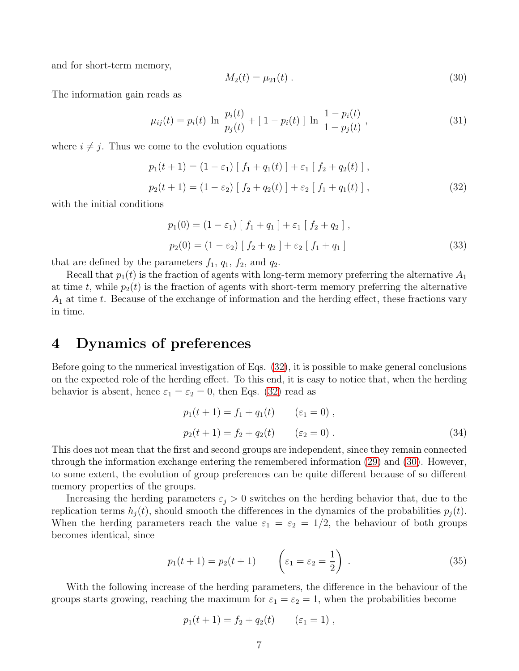and for short-term memory,

<span id="page-6-1"></span>
$$
M_2(t) = \mu_{21}(t) \tag{30}
$$

The information gain reads as

$$
\mu_{ij}(t) = p_i(t) \ln \frac{p_i(t)}{p_j(t)} + [1 - p_i(t)] \ln \frac{1 - p_i(t)}{1 - p_j(t)}, \qquad (31)
$$

where  $i \neq j$ . Thus we come to the evolution equations

<span id="page-6-0"></span>
$$
p_1(t+1) = (1 - \varepsilon_1) [f_1 + q_1(t)] + \varepsilon_1 [f_2 + q_2(t)],
$$
  
\n
$$
p_2(t+1) = (1 - \varepsilon_2) [f_2 + q_2(t)] + \varepsilon_2 [f_1 + q_1(t)],
$$
\n(32)

with the initial conditions

$$
p_1(0) = (1 - \varepsilon_1) [f_1 + q_1] + \varepsilon_1 [f_2 + q_2],
$$
  
\n
$$
p_2(0) = (1 - \varepsilon_2) [f_2 + q_2] + \varepsilon_2 [f_1 + q_1]
$$
\n(33)

that are defined by the parameters  $f_1$ ,  $q_1$ ,  $f_2$ , and  $q_2$ .

Recall that  $p_1(t)$  is the fraction of agents with long-term memory preferring the alternative  $A_1$ at time t, while  $p_2(t)$  is the fraction of agents with short-term memory preferring the alternative  $A_1$  at time t. Because of the exchange of information and the herding effect, these fractions vary in time.

## 4 Dynamics of preferences

Before going to the numerical investigation of Eqs. [\(32\)](#page-6-0), it is possible to make general conclusions on the expected role of the herding effect. To this end, it is easy to notice that, when the herding behavior is absent, hence  $\varepsilon_1 = \varepsilon_2 = 0$ , then Eqs. [\(32\)](#page-6-0) read as

$$
p_1(t+1) = f_1 + q_1(t) \qquad (\varepsilon_1 = 0) ,
$$
  

$$
p_2(t+1) = f_2 + q_2(t) \qquad (\varepsilon_2 = 0) .
$$
 (34)

This does not mean that the first and second groups are independent, since they remain connected through the information exchange entering the remembered information [\(29\)](#page-5-0) and [\(30\)](#page-6-1). However, to some extent, the evolution of group preferences can be quite different because of so different memory properties of the groups.

Increasing the herding parameters  $\varepsilon_j > 0$  switches on the herding behavior that, due to the replication terms  $h_j(t)$ , should smooth the differences in the dynamics of the probabilities  $p_j(t)$ . When the herding parameters reach the value  $\varepsilon_1 = \varepsilon_2 = 1/2$ , the behaviour of both groups becomes identical, since

<span id="page-6-2"></span>
$$
p_1(t+1) = p_2(t+1) \qquad \left(\varepsilon_1 = \varepsilon_2 = \frac{1}{2}\right) \,. \tag{35}
$$

With the following increase of the herding parameters, the difference in the behaviour of the groups starts growing, reaching the maximum for  $\varepsilon_1 = \varepsilon_2 = 1$ , when the probabilities become

$$
p_1(t + 1) = f_2 + q_2(t) \qquad (\varepsilon_1 = 1) ,
$$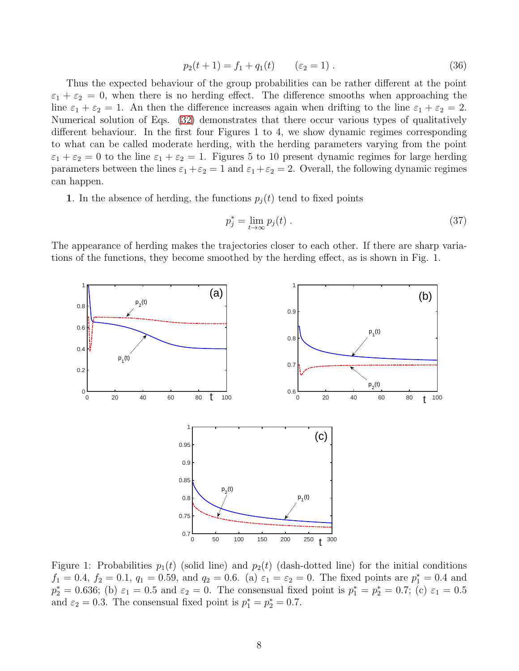<span id="page-7-0"></span>
$$
p_2(t+1) = f_1 + q_1(t) \qquad (\varepsilon_2 = 1) \ . \tag{36}
$$

Thus the expected behaviour of the group probabilities can be rather different at the point  $\varepsilon_1 + \varepsilon_2 = 0$ , when there is no herding effect. The difference smooths when approaching the line  $\varepsilon_1 + \varepsilon_2 = 1$ . An then the difference increases again when drifting to the line  $\varepsilon_1 + \varepsilon_2 = 2$ . Numerical solution of Eqs. [\(32\)](#page-6-0) demonstrates that there occur various types of qualitatively different behaviour. In the first four Figures 1 to 4, we show dynamic regimes corresponding to what can be called moderate herding, with the herding parameters varying from the point  $\varepsilon_1 + \varepsilon_2 = 0$  to the line  $\varepsilon_1 + \varepsilon_2 = 1$ . Figures 5 to 10 present dynamic regimes for large herding parameters between the lines  $\varepsilon_1 + \varepsilon_2 = 1$  and  $\varepsilon_1 + \varepsilon_2 = 2$ . Overall, the following dynamic regimes can happen.

1. In the absence of herding, the functions  $p_i(t)$  tend to fixed points

$$
p_j^* = \lim_{t \to \infty} p_j(t) \tag{37}
$$

The appearance of herding makes the trajectories closer to each other. If there are sharp variations of the functions, they become smoothed by the herding effect, as is shown in Fig. 1.



Figure 1: Probabilities  $p_1(t)$  (solid line) and  $p_2(t)$  (dash-dotted line) for the initial conditions  $f_1 = 0.4$ ,  $f_2 = 0.1$ ,  $q_1 = 0.59$ , and  $q_2 = 0.6$ . (a)  $\varepsilon_1 = \varepsilon_2 = 0$ . The fixed points are  $p_1^* = 0.4$  and  $p_2^* = 0.636$ ; (b)  $\varepsilon_1 = 0.5$  and  $\varepsilon_2 = 0$ . The consensual fixed point is  $p_1^* = p_2^* = 0.7$ ; (c)  $\varepsilon_1 = 0.5$ and  $\varepsilon_2 = 0.3$ . The consensual fixed point is  $p_1^* = p_2^* = 0.7$ .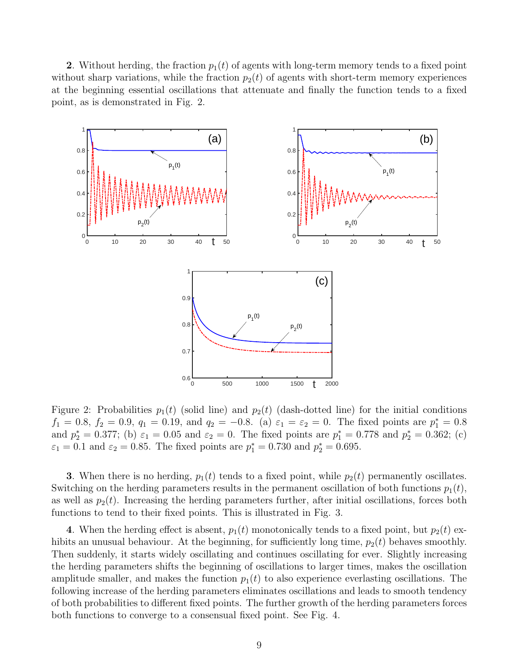2. Without herding, the fraction  $p_1(t)$  of agents with long-term memory tends to a fixed point without sharp variations, while the fraction  $p_2(t)$  of agents with short-term memory experiences at the beginning essential oscillations that attenuate and finally the function tends to a fixed point, as is demonstrated in Fig. 2.



Figure 2: Probabilities  $p_1(t)$  (solid line) and  $p_2(t)$  (dash-dotted line) for the initial conditions  $f_1 = 0.8, f_2 = 0.9, q_1 = 0.19, \text{ and } q_2 = -0.8.$  (a)  $\varepsilon_1 = \varepsilon_2 = 0$ . The fixed points are  $p_1^* = 0.8$ and  $p_2^* = 0.377$ ; (b)  $\varepsilon_1 = 0.05$  and  $\varepsilon_2 = 0$ . The fixed points are  $p_1^* = 0.778$  and  $p_2^* = 0.362$ ; (c)  $\varepsilon_1 = 0.1$  and  $\varepsilon_2 = 0.85$ . The fixed points are  $p_1^* = 0.730$  and  $p_2^* = 0.695$ .

3. When there is no herding,  $p_1(t)$  tends to a fixed point, while  $p_2(t)$  permanently oscillates. Switching on the herding parameters results in the permanent oscillation of both functions  $p_1(t)$ , as well as  $p_2(t)$ . Increasing the herding parameters further, after initial oscillations, forces both functions to tend to their fixed points. This is illustrated in Fig. 3.

4. When the herding effect is absent,  $p_1(t)$  monotonically tends to a fixed point, but  $p_2(t)$  exhibits an unusual behaviour. At the beginning, for sufficiently long time,  $p_2(t)$  behaves smoothly. Then suddenly, it starts widely oscillating and continues oscillating for ever. Slightly increasing the herding parameters shifts the beginning of oscillations to larger times, makes the oscillation amplitude smaller, and makes the function  $p_1(t)$  to also experience everlasting oscillations. The following increase of the herding parameters eliminates oscillations and leads to smooth tendency of both probabilities to different fixed points. The further growth of the herding parameters forces both functions to converge to a consensual fixed point. See Fig. 4.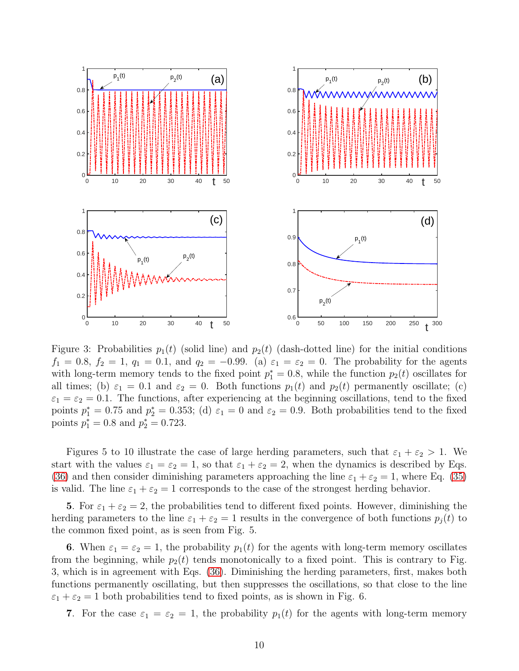

Figure 3: Probabilities  $p_1(t)$  (solid line) and  $p_2(t)$  (dash-dotted line) for the initial conditions  $f_1 = 0.8$ ,  $f_2 = 1$ ,  $q_1 = 0.1$ , and  $q_2 = -0.99$ . (a)  $\varepsilon_1 = \varepsilon_2 = 0$ . The probability for the agents with long-term memory tends to the fixed point  $p_1^* = 0.8$ , while the function  $p_2(t)$  oscillates for all times; (b)  $\varepsilon_1 = 0.1$  and  $\varepsilon_2 = 0$ . Both functions  $p_1(t)$  and  $p_2(t)$  permanently oscillate; (c)  $\varepsilon_1 = \varepsilon_2 = 0.1$ . The functions, after experiencing at the beginning oscillations, tend to the fixed points  $p_1^* = 0.75$  and  $p_2^* = 0.353$ ; (d)  $\varepsilon_1 = 0$  and  $\varepsilon_2 = 0.9$ . Both probabilities tend to the fixed points  $p_1^* = 0.8$  and  $p_2^* = 0.723$ .

Figures 5 to 10 illustrate the case of large herding parameters, such that  $\varepsilon_1 + \varepsilon_2 > 1$ . We start with the values  $\varepsilon_1 = \varepsilon_2 = 1$ , so that  $\varepsilon_1 + \varepsilon_2 = 2$ , when the dynamics is described by Eqs. [\(36\)](#page-7-0) and then consider diminishing parameters approaching the line  $\varepsilon_1 + \varepsilon_2 = 1$ , where Eq. [\(35\)](#page-6-2) is valid. The line  $\varepsilon_1 + \varepsilon_2 = 1$  corresponds to the case of the strongest herding behavior.

5. For  $\varepsilon_1 + \varepsilon_2 = 2$ , the probabilities tend to different fixed points. However, diminishing the herding parameters to the line  $\varepsilon_1 + \varepsilon_2 = 1$  results in the convergence of both functions  $p_i(t)$  to the common fixed point, as is seen from Fig. 5.

6. When  $\varepsilon_1 = \varepsilon_2 = 1$ , the probability  $p_1(t)$  for the agents with long-term memory oscillates from the beginning, while  $p_2(t)$  tends monotonically to a fixed point. This is contrary to Fig. 3, which is in agreement with Eqs. [\(36\)](#page-7-0). Diminishing the herding parameters, first, makes both functions permanently oscillating, but then suppresses the oscillations, so that close to the line  $\varepsilon_1 + \varepsilon_2 = 1$  both probabilities tend to fixed points, as is shown in Fig. 6.

7. For the case  $\varepsilon_1 = \varepsilon_2 = 1$ , the probability  $p_1(t)$  for the agents with long-term memory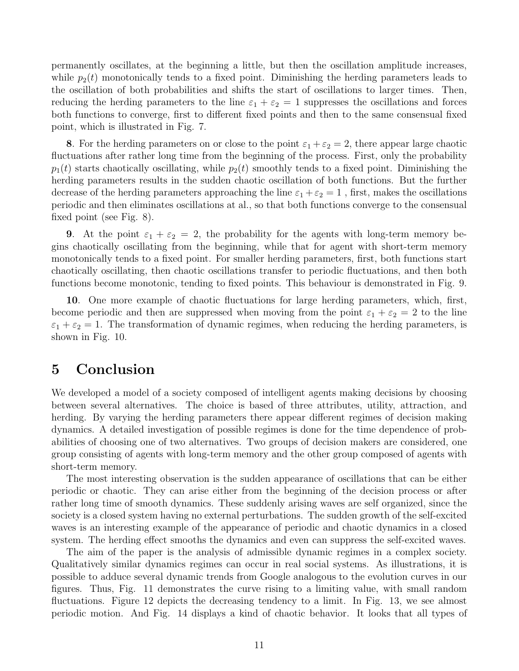permanently oscillates, at the beginning a little, but then the oscillation amplitude increases, while  $p_2(t)$  monotonically tends to a fixed point. Diminishing the herding parameters leads to the oscillation of both probabilities and shifts the start of oscillations to larger times. Then, reducing the herding parameters to the line  $\varepsilon_1 + \varepsilon_2 = 1$  suppresses the oscillations and forces both functions to converge, first to different fixed points and then to the same consensual fixed point, which is illustrated in Fig. 7.

8. For the herding parameters on or close to the point  $\varepsilon_1 + \varepsilon_2 = 2$ , there appear large chaotic fluctuations after rather long time from the beginning of the process. First, only the probability  $p_1(t)$  starts chaotically oscillating, while  $p_2(t)$  smoothly tends to a fixed point. Diminishing the herding parameters results in the sudden chaotic oscillation of both functions. But the further decrease of the herding parameters approaching the line  $\varepsilon_1 + \varepsilon_2 = 1$ , first, makes the oscillations periodic and then eliminates oscillations at al., so that both functions converge to the consensual fixed point (see Fig. 8).

9. At the point  $\varepsilon_1 + \varepsilon_2 = 2$ , the probability for the agents with long-term memory begins chaotically oscillating from the beginning, while that for agent with short-term memory monotonically tends to a fixed point. For smaller herding parameters, first, both functions start chaotically oscillating, then chaotic oscillations transfer to periodic fluctuations, and then both functions become monotonic, tending to fixed points. This behaviour is demonstrated in Fig. 9.

10. One more example of chaotic fluctuations for large herding parameters, which, first, become periodic and then are suppressed when moving from the point  $\varepsilon_1 + \varepsilon_2 = 2$  to the line  $\varepsilon_1 + \varepsilon_2 = 1$ . The transformation of dynamic regimes, when reducing the herding parameters, is shown in Fig. 10.

# 5 Conclusion

We developed a model of a society composed of intelligent agents making decisions by choosing between several alternatives. The choice is based of three attributes, utility, attraction, and herding. By varying the herding parameters there appear different regimes of decision making dynamics. A detailed investigation of possible regimes is done for the time dependence of probabilities of choosing one of two alternatives. Two groups of decision makers are considered, one group consisting of agents with long-term memory and the other group composed of agents with short-term memory.

The most interesting observation is the sudden appearance of oscillations that can be either periodic or chaotic. They can arise either from the beginning of the decision process or after rather long time of smooth dynamics. These suddenly arising waves are self organized, since the society is a closed system having no external perturbations. The sudden growth of the self-excited waves is an interesting example of the appearance of periodic and chaotic dynamics in a closed system. The herding effect smooths the dynamics and even can suppress the self-excited waves.

The aim of the paper is the analysis of admissible dynamic regimes in a complex society. Qualitatively similar dynamics regimes can occur in real social systems. As illustrations, it is possible to adduce several dynamic trends from Google analogous to the evolution curves in our figures. Thus, Fig. 11 demonstrates the curve rising to a limiting value, with small random fluctuations. Figure 12 depicts the decreasing tendency to a limit. In Fig. 13, we see almost periodic motion. And Fig. 14 displays a kind of chaotic behavior. It looks that all types of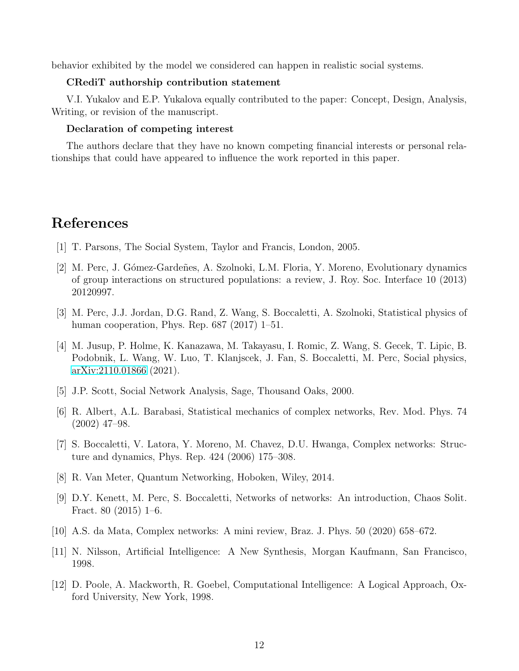behavior exhibited by the model we considered can happen in realistic social systems.

#### CRediT authorship contribution statement

V.I. Yukalov and E.P. Yukalova equally contributed to the paper: Concept, Design, Analysis, Writing, or revision of the manuscript.

#### Declaration of competing interest

The authors declare that they have no known competing financial interests or personal relationships that could have appeared to influence the work reported in this paper.

# <span id="page-11-0"></span>References

- <span id="page-11-1"></span>[1] T. Parsons, The Social System, Taylor and Francis, London, 2005.
- [2] M. Perc, J. Gómez-Gardeñes, A. Szolnoki, L.M. Floria, Y. Moreno, Evolutionary dynamics of group interactions on structured populations: a review, J. Roy. Soc. Interface 10 (2013) 20120997.
- <span id="page-11-2"></span>[3] M. Perc, J.J. Jordan, D.G. Rand, Z. Wang, S. Boccaletti, A. Szolnoki, Statistical physics of human cooperation, Phys. Rep. 687 (2017) 1–51.
- <span id="page-11-5"></span>[4] M. Jusup, P. Holme, K. Kanazawa, M. Takayasu, I. Romic, Z. Wang, S. Gecek, T. Lipic, B. Podobnik, L. Wang, W. Luo, T. Klanjscek, J. Fan, S. Boccaletti, M. Perc, Social physics, [arXiv:2110.01866](http://arxiv.org/abs/2110.01866) (2021).
- <span id="page-11-3"></span>[5] J.P. Scott, Social Network Analysis, Sage, Thousand Oaks, 2000.
- [6] R. Albert, A.L. Barabasi, Statistical mechanics of complex networks, Rev. Mod. Phys. 74 (2002) 47–98.
- [7] S. Boccaletti, V. Latora, Y. Moreno, M. Chavez, D.U. Hwanga, Complex networks: Structure and dynamics, Phys. Rep. 424 (2006) 175–308.
- [8] R. Van Meter, Quantum Networking, Hoboken, Wiley, 2014.
- [9] D.Y. Kenett, M. Perc, S. Boccaletti, Networks of networks: An introduction, Chaos Solit. Fract. 80 (2015) 1–6.
- <span id="page-11-6"></span><span id="page-11-4"></span>[10] A.S. da Mata, Complex networks: A mini review, Braz. J. Phys. 50 (2020) 658–672.
- [11] N. Nilsson, Artificial Intelligence: A New Synthesis, Morgan Kaufmann, San Francisco, 1998.
- [12] D. Poole, A. Mackworth, R. Goebel, Computational Intelligence: A Logical Approach, Oxford University, New York, 1998.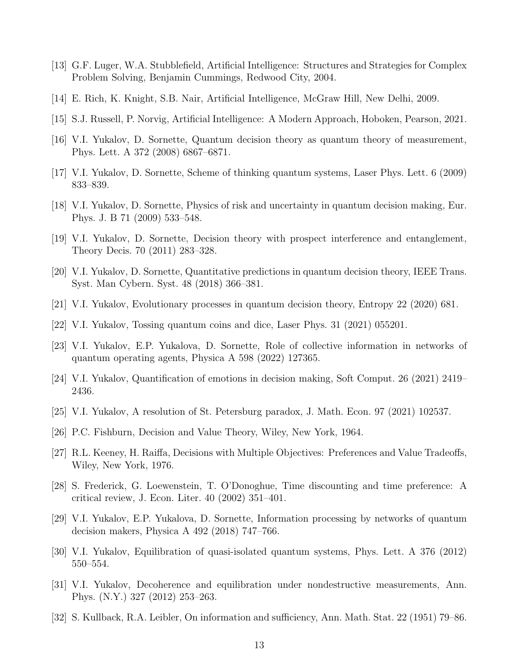- [13] G.F. Luger, W.A. Stubblefield, Artificial Intelligence: Structures and Strategies for Complex Problem Solving, Benjamin Cummings, Redwood City, 2004.
- <span id="page-12-0"></span>[14] E. Rich, K. Knight, S.B. Nair, Artificial Intelligence, McGraw Hill, New Delhi, 2009.
- <span id="page-12-1"></span>[15] S.J. Russell, P. Norvig, Artificial Intelligence: A Modern Approach, Hoboken, Pearson, 2021.
- [16] V.I. Yukalov, D. Sornette, Quantum decision theory as quantum theory of measurement, Phys. Lett. A 372 (2008) 6867–6871.
- [17] V.I. Yukalov, D. Sornette, Scheme of thinking quantum systems, Laser Phys. Lett. 6 (2009) 833–839.
- [18] V.I. Yukalov, D. Sornette, Physics of risk and uncertainty in quantum decision making, Eur. Phys. J. B 71 (2009) 533–548.
- <span id="page-12-4"></span>[19] V.I. Yukalov, D. Sornette, Decision theory with prospect interference and entanglement, Theory Decis. 70 (2011) 283–328.
- [20] V.I. Yukalov, D. Sornette, Quantitative predictions in quantum decision theory, IEEE Trans. Syst. Man Cybern. Syst. 48 (2018) 366–381.
- [21] V.I. Yukalov, Evolutionary processes in quantum decision theory, Entropy 22 (2020) 681.
- <span id="page-12-2"></span>[22] V.I. Yukalov, Tossing quantum coins and dice, Laser Phys. 31 (2021) 055201.
- <span id="page-12-3"></span>[23] V.I. Yukalov, E.P. Yukalova, D. Sornette, Role of collective information in networks of quantum operating agents, Physica A 598 (2022) 127365.
- <span id="page-12-5"></span>[24] V.I. Yukalov, Quantification of emotions in decision making, Soft Comput. 26 (2021) 2419– 2436.
- <span id="page-12-6"></span>[25] V.I. Yukalov, A resolution of St. Petersburg paradox, J. Math. Econ. 97 (2021) 102537.
- <span id="page-12-7"></span>[26] P.C. Fishburn, Decision and Value Theory, Wiley, New York, 1964.
- <span id="page-12-8"></span>[27] R.L. Keeney, H. Raiffa, Decisions with Multiple Objectives: Preferences and Value Tradeoffs, Wiley, New York, 1976.
- [28] S. Frederick, G. Loewenstein, T. O'Donoghue, Time discounting and time preference: A critical review, J. Econ. Liter. 40 (2002) 351–401.
- <span id="page-12-9"></span>[29] V.I. Yukalov, E.P. Yukalova, D. Sornette, Information processing by networks of quantum decision makers, Physica A 492 (2018) 747–766.
- <span id="page-12-11"></span><span id="page-12-10"></span>[30] V.I. Yukalov, Equilibration of quasi-isolated quantum systems, Phys. Lett. A 376 (2012) 550–554.
- [31] V.I. Yukalov, Decoherence and equilibration under nondestructive measurements, Ann. Phys. (N.Y.) 327 (2012) 253–263.
- <span id="page-12-12"></span>[32] S. Kullback, R.A. Leibler, On information and sufficiency, Ann. Math. Stat. 22 (1951) 79–86.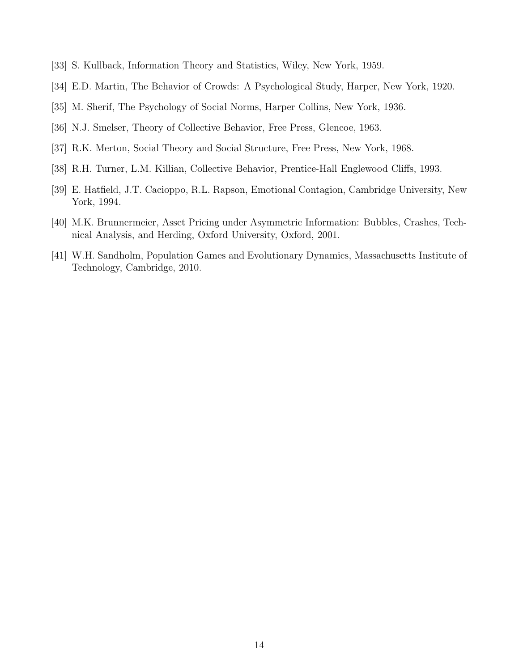- <span id="page-13-1"></span><span id="page-13-0"></span>[33] S. Kullback, Information Theory and Statistics, Wiley, New York, 1959.
- [34] E.D. Martin, The Behavior of Crowds: A Psychological Study, Harper, New York, 1920.
- [35] M. Sherif, The Psychology of Social Norms, Harper Collins, New York, 1936.
- [36] N.J. Smelser, Theory of Collective Behavior, Free Press, Glencoe, 1963.
- [37] R.K. Merton, Social Theory and Social Structure, Free Press, New York, 1968.
- [38] R.H. Turner, L.M. Killian, Collective Behavior, Prentice-Hall Englewood Cliffs, 1993.
- <span id="page-13-2"></span>[39] E. Hatfield, J.T. Cacioppo, R.L. Rapson, Emotional Contagion, Cambridge University, New York, 1994.
- <span id="page-13-3"></span>[40] M.K. Brunnermeier, Asset Pricing under Asymmetric Information: Bubbles, Crashes, Technical Analysis, and Herding, Oxford University, Oxford, 2001.
- [41] W.H. Sandholm, Population Games and Evolutionary Dynamics, Massachusetts Institute of Technology, Cambridge, 2010.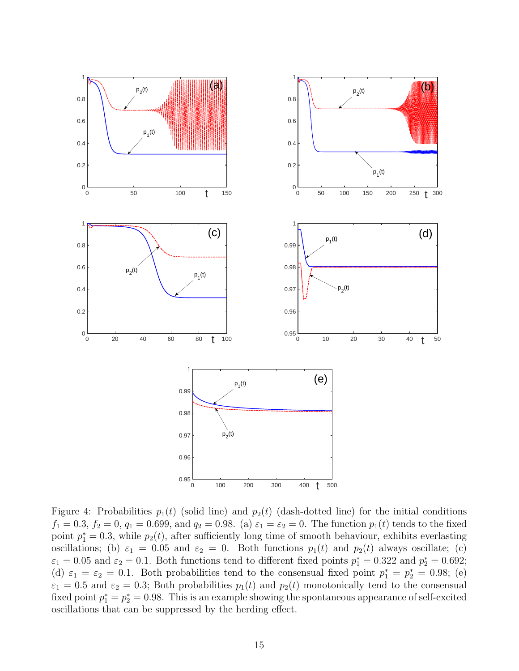

Figure 4: Probabilities  $p_1(t)$  (solid line) and  $p_2(t)$  (dash-dotted line) for the initial conditions  $f_1 = 0.3, f_2 = 0, q_1 = 0.699, \text{ and } q_2 = 0.98.$  (a)  $\varepsilon_1 = \varepsilon_2 = 0$ . The function  $p_1(t)$  tends to the fixed point  $p_1^* = 0.3$ , while  $p_2(t)$ , after sufficiently long time of smooth behaviour, exhibits everlasting oscillations; (b)  $\varepsilon_1 = 0.05$  and  $\varepsilon_2 = 0$ . Both functions  $p_1(t)$  and  $p_2(t)$  always oscillate; (c)  $\varepsilon_1 = 0.05$  and  $\varepsilon_2 = 0.1$ . Both functions tend to different fixed points  $p_1^* = 0.322$  and  $p_2^* = 0.692$ ; (d)  $\varepsilon_1 = \varepsilon_2 = 0.1$ . Both probabilities tend to the consensual fixed point  $p_1^* = p_2^* = 0.98$ ; (e)  $\varepsilon_1 = 0.5$  and  $\varepsilon_2 = 0.3$ ; Both probabilities  $p_1(t)$  and  $p_2(t)$  monotonically tend to the consensual fixed point  $p_1^* = p_2^* = 0.98$ . This is an example showing the spontaneous appearance of self-excited oscillations that can be suppressed by the herding effect.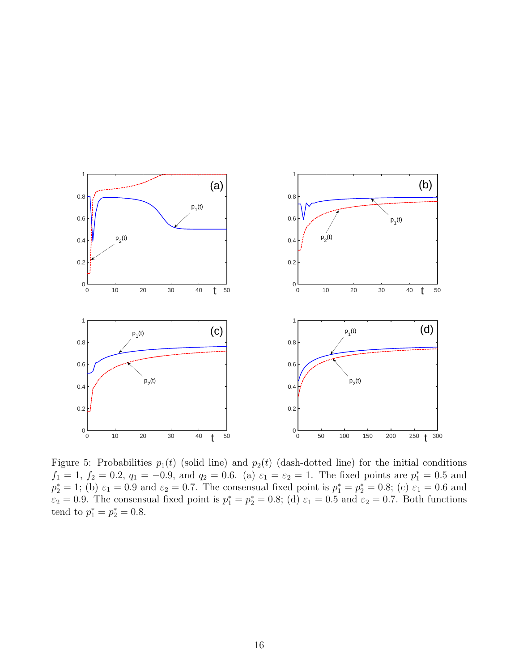

Figure 5: Probabilities  $p_1(t)$  (solid line) and  $p_2(t)$  (dash-dotted line) for the initial conditions  $f_1 = 1, f_2 = 0.2, q_1 = -0.9,$  and  $q_2 = 0.6$ . (a)  $\varepsilon_1 = \varepsilon_2 = 1$ . The fixed points are  $p_1^* = 0.5$  and  $p_2^* = 1$ ; (b)  $\varepsilon_1 = 0.9$  and  $\varepsilon_2 = 0.7$ . The consensual fixed point is  $p_1^* = p_2^* = 0.8$ ; (c)  $\varepsilon_1 = 0.6$  and  $\varepsilon_2 = 0.9$ . The consensual fixed point is  $p_1^* = p_2^* = 0.8$ ; (d)  $\varepsilon_1 = 0.5$  and  $\varepsilon_2 = 0.7$ . Both functions tend to  $p_1^* = p_2^* = 0.8$ .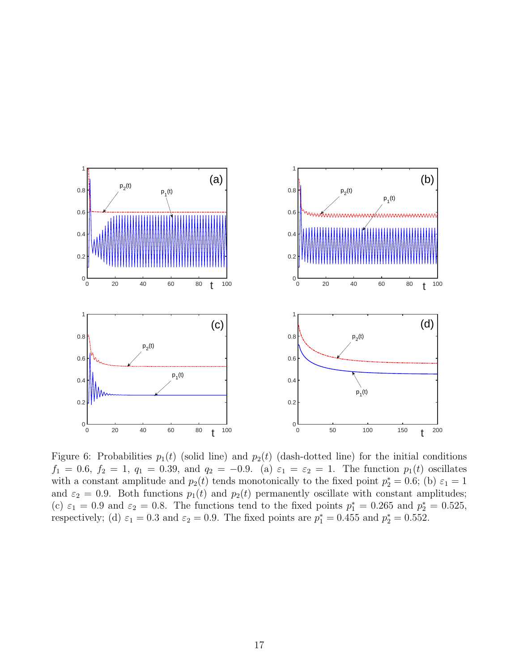

Figure 6: Probabilities  $p_1(t)$  (solid line) and  $p_2(t)$  (dash-dotted line) for the initial conditions  $f_1 = 0.6, f_2 = 1, q_1 = 0.39, \text{ and } q_2 = -0.9.$  (a)  $\varepsilon_1 = \varepsilon_2 = 1$ . The function  $p_1(t)$  oscillates with a constant amplitude and  $p_2(t)$  tends monotonically to the fixed point  $p_2^* = 0.6$ ; (b)  $\varepsilon_1 = 1$ and  $\varepsilon_2 = 0.9$ . Both functions  $p_1(t)$  and  $p_2(t)$  permanently oscillate with constant amplitudes; (c)  $\varepsilon_1 = 0.9$  and  $\varepsilon_2 = 0.8$ . The functions tend to the fixed points  $p_1^* = 0.265$  and  $p_2^* = 0.525$ , respectively; (d)  $\varepsilon_1 = 0.3$  and  $\varepsilon_2 = 0.9$ . The fixed points are  $p_1^* = 0.455$  and  $p_2^* = 0.552$ .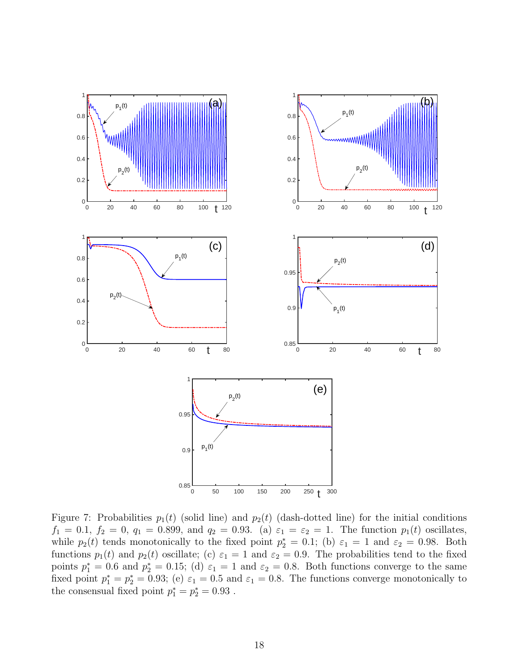

Figure 7: Probabilities  $p_1(t)$  (solid line) and  $p_2(t)$  (dash-dotted line) for the initial conditions  $f_1 = 0.1, f_2 = 0, q_1 = 0.899, \text{ and } q_2 = 0.93.$  (a)  $\varepsilon_1 = \varepsilon_2 = 1$ . The function  $p_1(t)$  oscillates, while  $p_2(t)$  tends monotonically to the fixed point  $p_2^* = 0.1$ ; (b)  $\varepsilon_1 = 1$  and  $\varepsilon_2 = 0.98$ . Both functions  $p_1(t)$  and  $p_2(t)$  oscillate; (c)  $\varepsilon_1 = 1$  and  $\varepsilon_2 = 0.9$ . The probabilities tend to the fixed points  $p_1^* = 0.6$  and  $p_2^* = 0.15$ ; (d)  $\varepsilon_1 = 1$  and  $\varepsilon_2 = 0.8$ . Both functions converge to the same fixed point  $p_1^* = p_2^* = 0.93$ ; (e)  $\varepsilon_1 = 0.5$  and  $\varepsilon_1 = 0.8$ . The functions converge monotonically to the consensual fixed point  $p_1^*=p_2^*=0.93$  .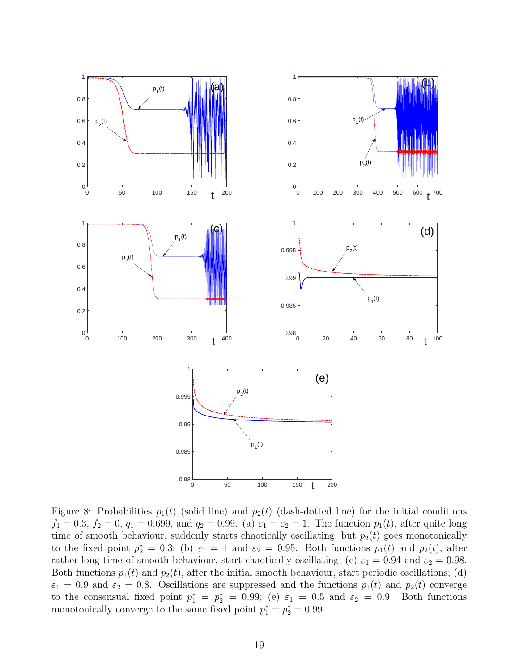

Figure 8: Probabilities  $p_1(t)$  (solid line) and  $p_2(t)$  (dash-dotted line) for the initial conditions  $f_1 = 0.3, f_2 = 0, q_1 = 0.699, \text{ and } q_2 = 0.99.$  (a)  $\varepsilon_1 = \varepsilon_2 = 1$ . The function  $p_1(t)$ , after quite long time of smooth behaviour, suddenly starts chaotically oscillating, but  $p_2(t)$  goes monotonically to the fixed point  $p_2^* = 0.3$ ; (b)  $\varepsilon_1 = 1$  and  $\varepsilon_2 = 0.95$ . Both functions  $p_1(t)$  and  $p_2(t)$ , after rather long time of smooth behaviour, start chaotically oscillating; (c)  $\varepsilon_1 = 0.94$  and  $\varepsilon_2 = 0.98$ . Both functions  $p_1(t)$  and  $p_2(t)$ , after the initial smooth behaviour, start periodic oscillations; (d)  $\varepsilon_1 = 0.9$  and  $\varepsilon_2 = 0.8$ . Oscillations are suppressed and the functions  $p_1(t)$  and  $p_2(t)$  converge to the consensual fixed point  $p_1^* = p_2^* = 0.99$ ; (e)  $\varepsilon_1 = 0.5$  and  $\varepsilon_2 = 0.9$ . Both functions monotonically converge to the same fixed point  $p_1^* = p_2^* = 0.99$ .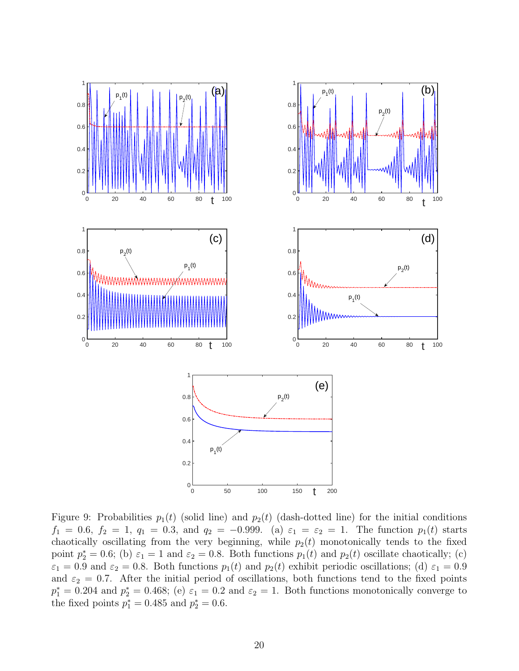

Figure 9: Probabilities  $p_1(t)$  (solid line) and  $p_2(t)$  (dash-dotted line) for the initial conditions  $f_1 = 0.6, f_2 = 1, q_1 = 0.3, \text{ and } q_2 = -0.999.$  (a)  $\varepsilon_1 = \varepsilon_2 = 1$ . The function  $p_1(t)$  starts chaotically oscillating from the very beginning, while  $p_2(t)$  monotonically tends to the fixed point  $p_2^* = 0.6$ ; (b)  $\varepsilon_1 = 1$  and  $\varepsilon_2 = 0.8$ . Both functions  $p_1(t)$  and  $p_2(t)$  oscillate chaotically; (c)  $\varepsilon_1 = 0.9$  and  $\varepsilon_2 = 0.8$ . Both functions  $p_1(t)$  and  $p_2(t)$  exhibit periodic oscillations; (d)  $\varepsilon_1 = 0.9$ and  $\varepsilon_2 = 0.7$ . After the initial period of oscillations, both functions tend to the fixed points  $p_1^* = 0.204$  and  $p_2^* = 0.468$ ; (e)  $\varepsilon_1 = 0.2$  and  $\varepsilon_2 = 1$ . Both functions monotonically converge to the fixed points  $p_1^* = 0.485$  and  $p_2^* = 0.6$ .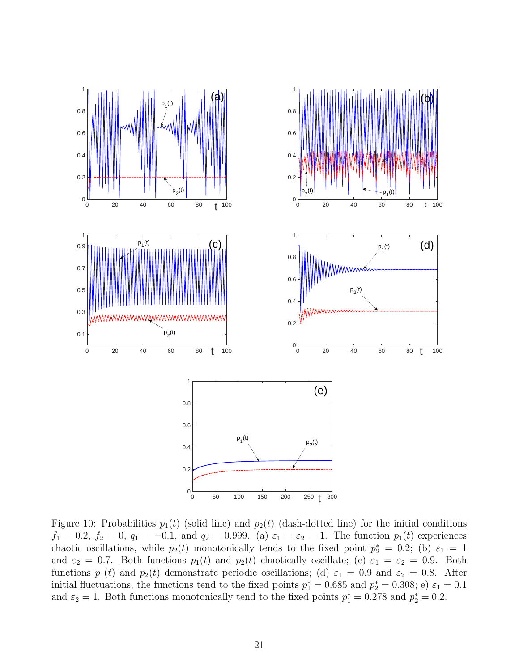

Figure 10: Probabilities  $p_1(t)$  (solid line) and  $p_2(t)$  (dash-dotted line) for the initial conditions  $f_1 = 0.2, f_2 = 0, q_1 = -0.1, \text{ and } q_2 = 0.999.$  (a)  $\varepsilon_1 = \varepsilon_2 = 1$ . The function  $p_1(t)$  experiences chaotic oscillations, while  $p_2(t)$  monotonically tends to the fixed point  $p_2^* = 0.2$ ; (b)  $\varepsilon_1 = 1$ and  $\varepsilon_2 = 0.7$ . Both functions  $p_1(t)$  and  $p_2(t)$  chaotically oscillate; (c)  $\varepsilon_1 = \varepsilon_2 = 0.9$ . Both functions  $p_1(t)$  and  $p_2(t)$  demonstrate periodic oscillations; (d)  $\varepsilon_1 = 0.9$  and  $\varepsilon_2 = 0.8$ . After initial fluctuations, the functions tend to the fixed points  $p_1^* = 0.685$  and  $p_2^* = 0.308$ ; e)  $\varepsilon_1 = 0.1$ and  $\varepsilon_2 = 1$ . Both functions monotonically tend to the fixed points  $p_1^* = 0.278$  and  $p_2^* = 0.2$ .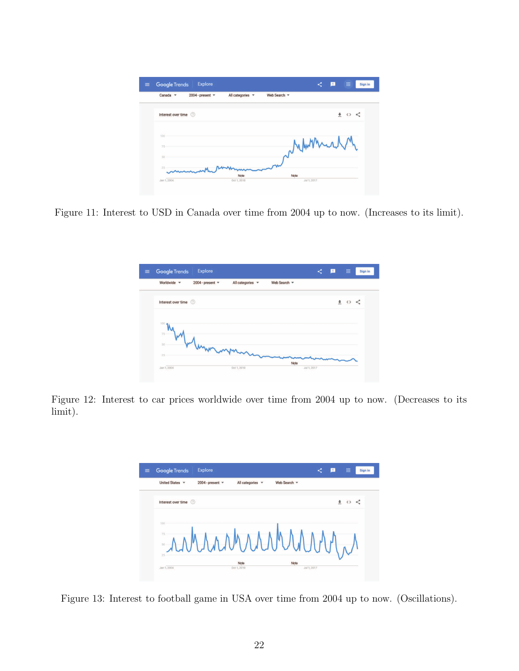| 2004 - present $\sqrt{*}$<br>Canada $\blacktriangledown$ | All categories v | Web Search |  |     |
|----------------------------------------------------------|------------------|------------|--|-----|
| Interest over time 2                                     |                  |            |  | まぐく |
|                                                          |                  |            |  |     |
| 100                                                      |                  |            |  |     |
| $-75$<br>50                                              |                  | Vym        |  |     |

Figure 11: Interest to USD in Canada over time from 2004 up to now. (Increases to its limit).

| Explore<br><b>Google Trends</b><br>$\equiv$ |                                               |              | Е<br>≺ | 曲<br>Sign in |
|---------------------------------------------|-----------------------------------------------|--------------|--------|--------------|
| Worldwide =                                 | 2004 - present $\sqrt{*}$<br>All categories v | Web Search = |        |              |
| Interest over time 2                        |                                               |              |        | ▲ ⇔ <        |
| 100                                         |                                               |              |        |              |
| 75<br>50                                    |                                               |              |        |              |
| 25                                          | mum                                           | Note         |        |              |
| Jan 1, 2004                                 | Oct 1, 2010                                   | Jul 1, 2017  |        |              |

Figure 12: Interest to car prices worldwide over time from 2004 up to now. (Decreases to its limit).



Figure 13: Interest to football game in USA over time from 2004 up to now. (Oscillations).